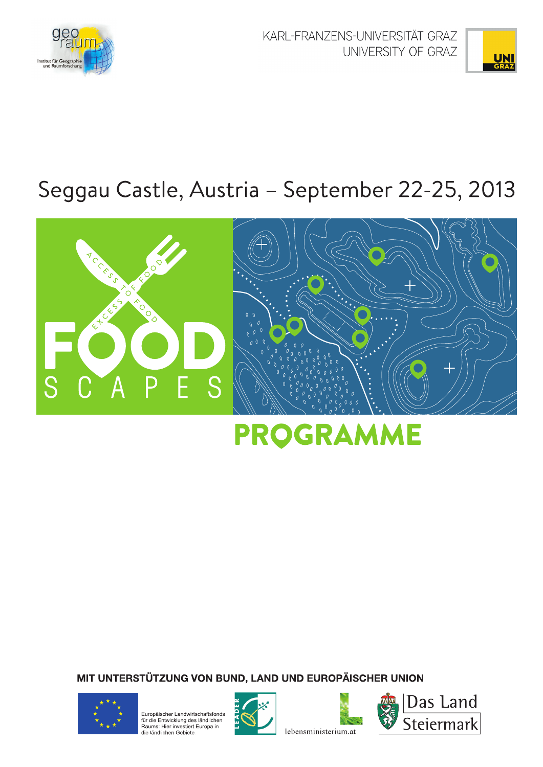

KARL-FRANZENS-UNIVERSITÄT GRAZ UNIVERSITY OF GRAZ



# Seggau Castle, Austria - September 22-25, 2013



# **PROGRAMME**

MIT UNTERSTÜTZUNG VON BUND, LAND UND EUROPÄISCHER UNION



Europäischer Landwirtschaftsfonds La participation de la contratturacionale<br>für die Entwicklung des ländlichen<br>Raums: Hier investiert Europa in<br>die ländlichen Gebiete.





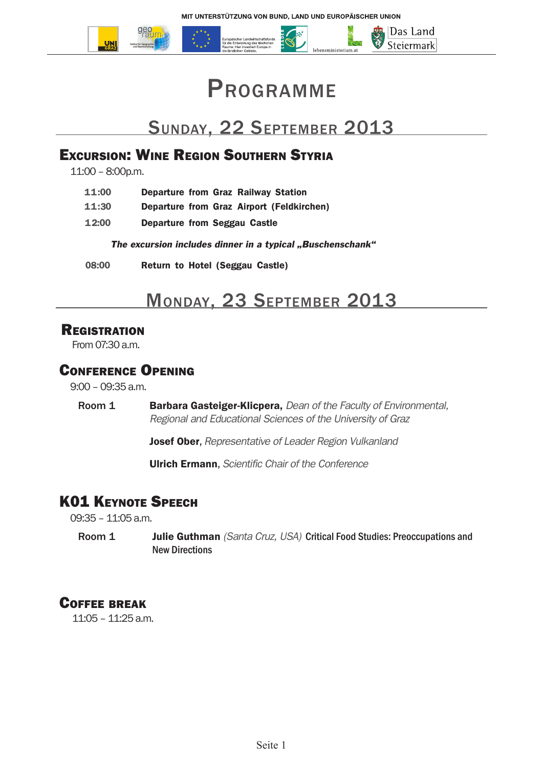

# **PROGRAMME**

## Sunday, 22 September 2013

#### Excursion: Wine Region Southern Styria

11:00 – 8:00p.m.

| 11:00 | <b>Departure from Graz Railway Station</b> |  |  |  |  |
|-------|--------------------------------------------|--|--|--|--|
|-------|--------------------------------------------|--|--|--|--|

- **11:30 Departure from Graz Airport (Feldkirchen)**
- **12:00 Departure from Seggau Castle**

The excursion includes dinner in a typical "Buschenschank"

**08:00 Return to Hotel (Seggau Castle)**

## Monday, 23 September 2013

#### **REGISTRATION**

From 07:30 a.m.

#### Conference Opening

9:00 – 09:35 a.m.

Room 1 **Barbara Gasteiger-Klicpera,** *Dean of the Faculty of Environmental, Regional and Educational Sciences of the University of Graz*

Josef Ober, *Representative of Leader Region Vulkanland*

Ulrich Ermann, *Scientific Chair of the Conference*

## **K01 KEYNOTE SPEECH**

09:35 – 11:05 a.m.

Room 1 Julie Guthman *(Santa Cruz, USA)* Critical Food Studies: Preoccupations and New Directions

#### Coffee break

11:05 – 11:25 a.m.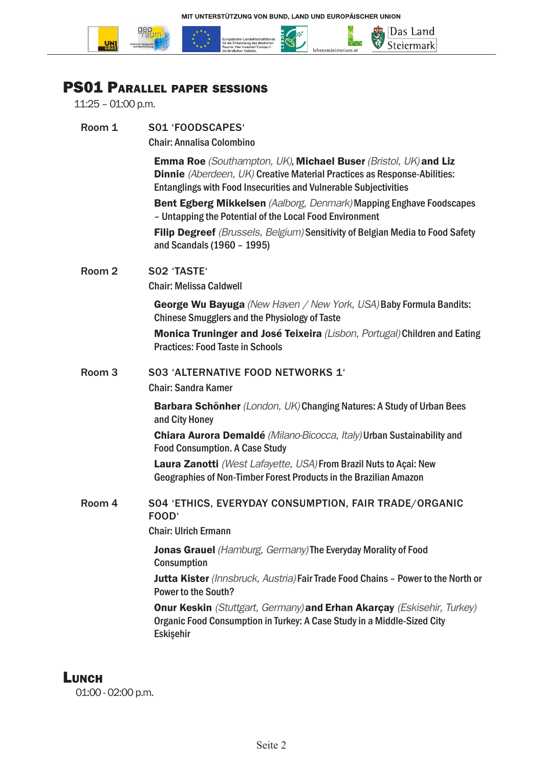

## PS01 Parallel paper sessions

11:25 – 01:00 p.m.

| Room 1            | S01 'FOODSCAPES'                                                                                                                                                                                                              |
|-------------------|-------------------------------------------------------------------------------------------------------------------------------------------------------------------------------------------------------------------------------|
|                   | <b>Chair: Annalisa Colombino</b>                                                                                                                                                                                              |
|                   | <b>Emma Roe</b> (Southampton, UK), Michael Buser (Bristol, UK) and Liz<br>Dinnie (Aberdeen, UK) Creative Material Practices as Response-Abilities:<br><b>Entanglings with Food Insecurities and Vulnerable Subjectivities</b> |
|                   | Bent Egberg Mikkelsen (Aalborg, Denmark) Mapping Enghave Foodscapes<br>- Untapping the Potential of the Local Food Environment                                                                                                |
|                   | Filip Degreef (Brussels, Belgium) Sensitivity of Belgian Media to Food Safety<br>and Scandals (1960 - 1995)                                                                                                                   |
| Room <sub>2</sub> | SO2 'TASTE'                                                                                                                                                                                                                   |
|                   | <b>Chair: Melissa Caldwell</b>                                                                                                                                                                                                |
|                   | <b>George Wu Bayuga</b> (New Haven / New York, USA) Baby Formula Bandits:<br><b>Chinese Smugglers and the Physiology of Taste</b>                                                                                             |
|                   | Monica Truninger and José Teixeira (Lisbon, Portugal) Children and Eating<br><b>Practices: Food Taste in Schools</b>                                                                                                          |
| Room <sub>3</sub> | <b>S03 'ALTERNATIVE FOOD NETWORKS 1'</b>                                                                                                                                                                                      |
|                   | <b>Chair: Sandra Karner</b>                                                                                                                                                                                                   |
|                   | <b>Barbara Schönher</b> (London, UK) Changing Natures: A Study of Urban Bees<br>and City Honey                                                                                                                                |
|                   | Chiara Aurora Demaldé (Milano-Bicocca, Italy) Urban Sustainability and<br><b>Food Consumption. A Case Study</b>                                                                                                               |
|                   | Laura Zanotti (West Lafayette, USA) From Brazil Nuts to Açai: New<br>Geographies of Non-Timber Forest Products in the Brazilian Amazon                                                                                        |
| Room 4            | S04 'ETHICS, EVERYDAY CONSUMPTION, FAIR TRADE/ORGANIC<br>FOOD <sup>®</sup>                                                                                                                                                    |
|                   | <b>Chair: Ulrich Ermann</b>                                                                                                                                                                                                   |
|                   | <b>Jonas Grauel</b> (Hamburg, Germany) The Everyday Morality of Food<br>Consumption                                                                                                                                           |
|                   | Jutta Kister (Innsbruck, Austria) Fair Trade Food Chains - Power to the North or<br><b>Power to the South?</b>                                                                                                                |
|                   | <b>Onur Keskin</b> (Stuttgart, Germany) and Erhan Akarçay (Eskisehir, Turkey)<br>Organic Food Consumption in Turkey: A Case Study in a Middle-Sized City<br>Eskişehir                                                         |
|                   |                                                                                                                                                                                                                               |

## **LUNCH**

01:00 - 02:00 p.m.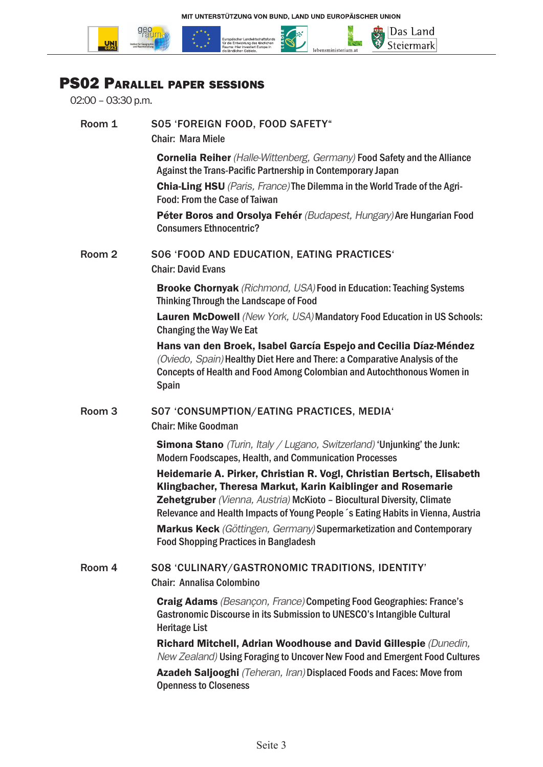

## PS02 Parallel paper sessions

02:00 – 03:30 p.m.

**UNI**<br>GRAZ

| Room 1            | S05 'FOREIGN FOOD, FOOD SAFETY"<br><b>Chair: Mara Miele</b>                                                                                                                                                                                                                                                                                                                                                                |
|-------------------|----------------------------------------------------------------------------------------------------------------------------------------------------------------------------------------------------------------------------------------------------------------------------------------------------------------------------------------------------------------------------------------------------------------------------|
|                   | <b>Cornelia Reiher</b> (Halle-Wittenberg, Germany) Food Safety and the Alliance<br>Against the Trans-Pacific Partnership in Contemporary Japan                                                                                                                                                                                                                                                                             |
|                   | Chia-Ling HSU (Paris, France) The Dilemma in the World Trade of the Agri-<br><b>Food: From the Case of Taiwan</b>                                                                                                                                                                                                                                                                                                          |
|                   | Péter Boros and Orsolya Fehér (Budapest, Hungary) Are Hungarian Food<br><b>Consumers Ethnocentric?</b>                                                                                                                                                                                                                                                                                                                     |
| Room 2            | S06 'FOOD AND EDUCATION, EATING PRACTICES'<br><b>Chair: David Evans</b>                                                                                                                                                                                                                                                                                                                                                    |
|                   | <b>Brooke Chornyak</b> (Richmond, USA) Food in Education: Teaching Systems<br>Thinking Through the Landscape of Food                                                                                                                                                                                                                                                                                                       |
|                   | <b>Lauren McDowell</b> (New York, USA) Mandatory Food Education in US Schools:<br><b>Changing the Way We Eat</b>                                                                                                                                                                                                                                                                                                           |
|                   | Hans van den Broek, Isabel García Espejo and Cecilia Díaz-Méndez<br>(Oviedo, Spain) Healthy Diet Here and There: a Comparative Analysis of the<br>Concepts of Health and Food Among Colombian and Autochthonous Women in<br><b>Spain</b>                                                                                                                                                                                   |
| Room <sub>3</sub> | S07 'CONSUMPTION/EATING PRACTICES, MEDIA'<br><b>Chair: Mike Goodman</b>                                                                                                                                                                                                                                                                                                                                                    |
|                   | <b>Simona Stano</b> (Turin, Italy / Lugano, Switzerland) 'Unjunking' the Junk:<br>Modern Foodscapes, Health, and Communication Processes                                                                                                                                                                                                                                                                                   |
|                   | Heidemarie A. Pirker, Christian R. Vogl, Christian Bertsch, Elisabeth<br>Klingbacher, Theresa Markut, Karin Kaiblinger and Rosemarie<br>Zehetgruber (Vienna, Austria) McKioto - Biocultural Diversity, Climate<br>Relevance and Health Impacts of Young People 's Eating Habits in Vienna, Austria<br>Markus Keck (Göttingen, Germany) Supermarketization and Contemporary<br><b>Food Shopping Practices in Bangladesh</b> |
| Room 4            | S08 'CULINARY/GASTRONOMIC TRADITIONS, IDENTITY'                                                                                                                                                                                                                                                                                                                                                                            |
|                   | <b>Chair: Annalisa Colombino</b>                                                                                                                                                                                                                                                                                                                                                                                           |
|                   | <b>Craig Adams</b> (Besançon, France) Competing Food Geographies: France's<br>Gastronomic Discourse in its Submission to UNESCO's Intangible Cultural<br><b>Heritage List</b>                                                                                                                                                                                                                                              |
|                   | Richard Mitchell, Adrian Woodhouse and David Gillespie (Dunedin,<br>New Zealand) Using Foraging to Uncover New Food and Emergent Food Cultures                                                                                                                                                                                                                                                                             |
|                   | Azadeh Saljooghi (Teheran, Iran) Displaced Foods and Faces: Move from<br><b>Openness to Closeness</b>                                                                                                                                                                                                                                                                                                                      |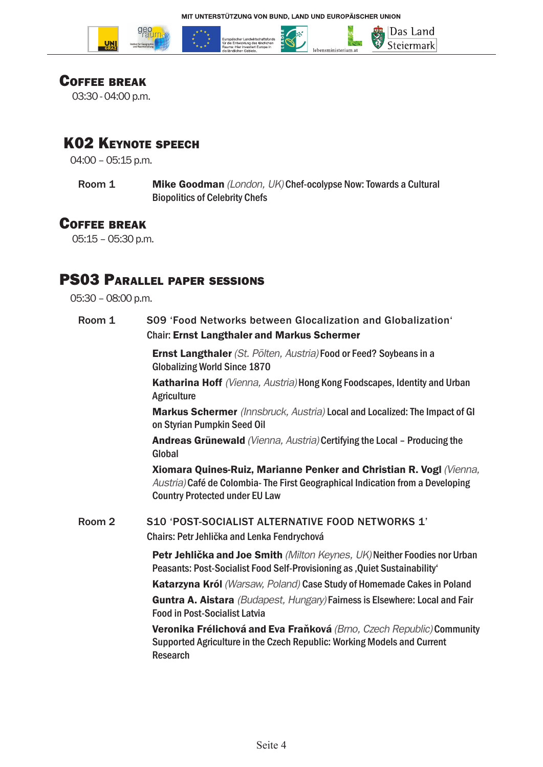





#### Coffee break

03:30 - 04:00 p.m.

## K02 Keynote speech

04:00 – 05:15 p.m.

Room 1 **Mike Goodman** *(London, UK)* Chef-ocolypse Now: Towards a Cultural Biopolitics of Celebrity Chefs

#### Coffee break

05:15 – 05:30 p.m.

#### PS03 Parallel paper sessions

05:30 – 08:00 p.m.

Room 1 S09 'Food Networks between Glocalization and Globalization' Chair: Ernst Langthaler and Markus Schermer Ernst Langthaler *(St. Pölten, Austria)* Food or Feed? Soybeans in a Globalizing World Since 1870 Katharina Hoff *(Vienna, Austria)* Hong Kong Foodscapes, Identity and Urban **Agriculture** Markus Schermer *(Innsbruck, Austria)* Local and Localized: The Impact of GI on Styrian Pumpkin Seed Oil Andreas Grünewald *(Vienna, Austria)* Certifying the Local – Producing the Global Xiomara Quines-Ruiz, Marianne Penker and Christian R. Vogl *(Vienna, Austria)* Café de Colombia- The First Geographical Indication from a Developing Country Protected under EU Law Room 2 S10 'POST-SOCIALIST ALTERNATIVE FOOD NETWORKS 1' Chairs: Petr Jehlička and Lenka Fendrychová Petr Jehlička and Joe Smith *(Milton Keynes, UK)* Neither Foodies nor Urban Peasants: Post-Socialist Food Self-Provisioning as , Quiet Sustainability' Katarzyna Król *(Warsaw, Poland)* Case Study of Homemade Cakes in Poland Guntra A. Aistara *(Budapest, Hungary)* Fairness is Elsewhere: Local and Fair Food in Post-Socialist Latvia Veronika Frélichová and Eva Fraňková *(Brno, Czech Republic)* Community Supported Agriculture in the Czech Republic: Working Models and Current Research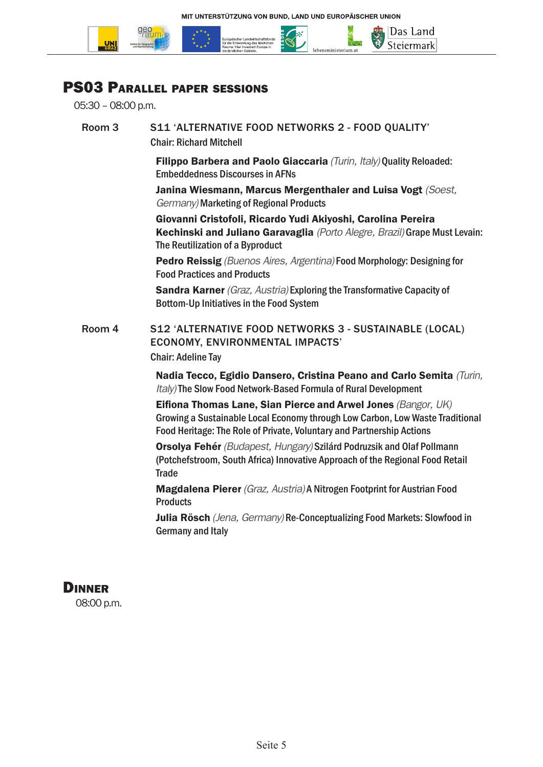

#### PS03 Parallel paper sessions

05:30 – 08:00 p.m.

Room 3 S11 'ALTERNATIVE FOOD NETWORKS 2 - FOOD QUALITY' Chair: Richard Mitchell Filippo Barbera and Paolo Giaccaria *(Turin, Italy)* Quality Reloaded: Embeddedness Discourses in AFNs Janina Wiesmann, Marcus Mergenthaler and Luisa Vogt *(Soest, Germany)* Marketing of Regional Products Giovanni Cristofoli, Ricardo Yudi Akiyoshi, Carolina Pereira Kechinski and Juliano Garavaglia *(Porto Alegre, Brazil)* Grape Must Levain: The Reutilization of a Byproduct Pedro Reissig *(Buenos Aires, Argentina)* Food Morphology: Designing for Food Practices and Products Sandra Karner *(Graz, Austria)* Exploring the Transformative Capacity of Bottom-Up Initiatives in the Food System Room 4 S12 'ALTERNATIVE FOOD NETWORKS 3 - SUSTAINABLE (LOCAL) ECONOMY, ENVIRONMENTAL IMPACTS' Chair: Adeline Tay Nadia Tecco, Egidio Dansero, Cristina Peano and Carlo Semita *(Turin, Italy)* The Slow Food Network-Based Formula of Rural Development Eifiona Thomas Lane, Sian Pierce and Arwel Jones *(Bangor, UK)* Growing a Sustainable Local Economy through Low Carbon, Low Waste Traditional Food Heritage: The Role of Private, Voluntary and Partnership Actions Orsolya Fehér *(Budapest, Hungary)* Szilárd Podruzsik and Olaf Pollmann (Potchefstroom, South Africa) Innovative Approach of the Regional Food Retail **Trade** Magdalena Pierer *(Graz, Austria)* A Nitrogen Footprint for Austrian Food **Products** Julia Rösch *(Jena, Germany)* Re-Conceptualizing Food Markets: Slowfood in Germany and Italy

## **DINNER**

08:00 p.m.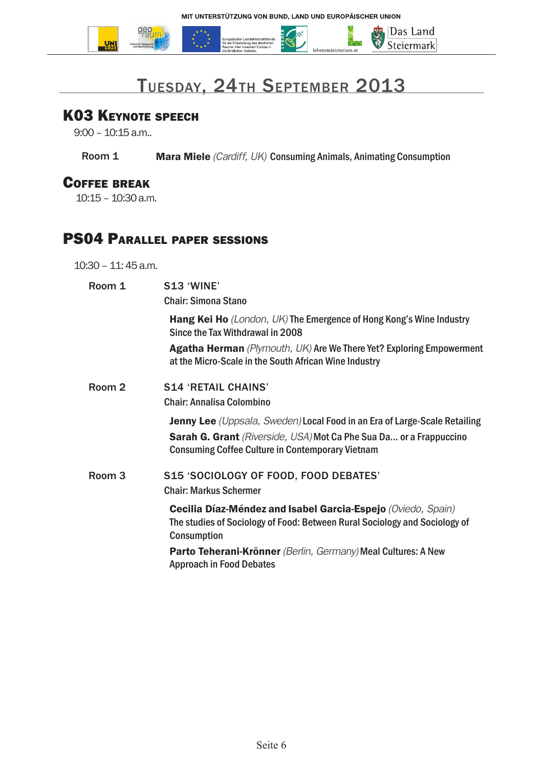

# Tuesday, 24th September 2013

### K03 Keynote speech

9:00 – 10:15 a.m..

**Room 1 Mara Miele** *(Cardiff, UK)* Consuming Animals, Animating Consumption

#### Coffee break

10:15 – 10:30 a.m.

## PS04 Parallel paper sessions

#### 10:30 – 11: 45 a.m.

| Room 1            | <b>S13 'WINE'</b><br><b>Chair: Simona Stano</b>                                                                                                                  |
|-------------------|------------------------------------------------------------------------------------------------------------------------------------------------------------------|
|                   | Hang Kei Ho (London, UK) The Emergence of Hong Kong's Wine Industry<br>Since the Tax Withdrawal in 2008                                                          |
|                   | <b>Agatha Herman</b> (Plymouth, UK) Are We There Yet? Exploring Empowerment<br>at the Micro-Scale in the South African Wine Industry                             |
| Room 2            | <b>S14 'RETAIL CHAINS'</b>                                                                                                                                       |
|                   | <b>Chair: Annalisa Colombino</b>                                                                                                                                 |
|                   | <b>Jenny Lee</b> (Uppsala, Sweden) Local Food in an Era of Large-Scale Retailing<br>Sarah G. Grant (Riverside, USA) Mot Ca Phe Sua Da or a Frappuccino           |
|                   | <b>Consuming Coffee Culture in Contemporary Vietnam</b>                                                                                                          |
| Room <sub>3</sub> | S15 'SOCIOLOGY OF FOOD, FOOD DEBATES'<br><b>Chair: Markus Schermer</b>                                                                                           |
|                   | Cecilia Díaz-Méndez and Isabel Garcia-Espejo (Oviedo, Spain)<br>The studies of Sociology of Food: Between Rural Sociology and Sociology of<br><b>Consumption</b> |
|                   | Parto Teherani-Krönner (Berlin, Germany) Meal Cultures: A New<br><b>Approach in Food Debates</b>                                                                 |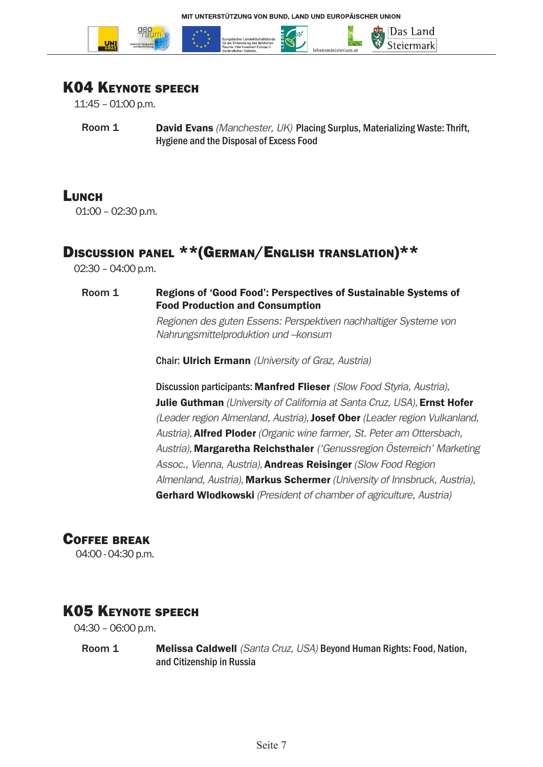

#### K04 Keynote speech

11:45 – 01:00 p.m.

Room 1 **David Evans** *(Manchester, UK)* Placing Surplus, Materializing Waste: Thrift, Hygiene and the Disposal of Excess Food

#### **LUNCH**

01:00 – 02:30 p.m.

### Discussion panel \*\*(GERMAN/ENGLISH TRANSLATION)\*\*

02:30 – 04:00 p.m.

#### Room 1 Regions of 'Good Food': Perspectives of Sustainable Systems of Food Production and Consumption

*Regionen des guten Essens: Perspektiven nachhaltiger Systeme von Nahrungsmittelproduktion und –konsum* 

Chair: Ulrich Ermann *(University of Graz, Austria)*

Discussion participants: Manfred Flieser *(Slow Food Styria, Austria),* Julie Guthman *(University of California at Santa Cruz, USA),* Ernst Hofer *(Leader region Almenland, Austria),*Josef Ober *(Leader region Vulkanland, Austria),*Alfred Ploder *(Organic wine farmer, St. Peter am Ottersbach, Austria),* Margaretha Reichsthaler *('Genussregion Österreich' Marketing Assoc., Vienna, Austria),*Andreas Reisinger *(Slow Food Region Almenland, Austria),* Markus Schermer *(University of Innsbruck, Austria),* Gerhard Wlodkowski *(President of chamber of agriculture, Austria)* 

#### Coffee break

04:00 - 04:30 p.m.

#### K05 Keynote speech

04:30 – 06:00 p.m.

Room 1 Melissa Caldwell *(Santa Cruz, USA)* Beyond Human Rights: Food, Nation, and Citizenship in Russia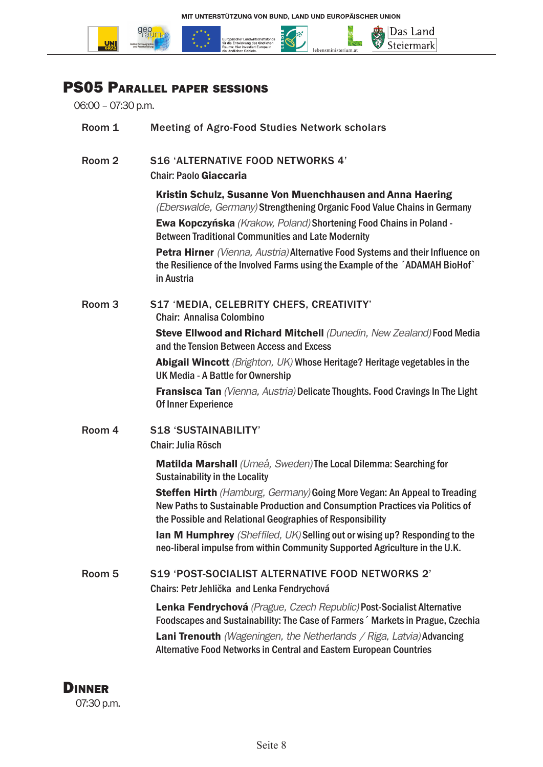

## PS05 Parallel paper sessions

06:00 – 07:30 p.m.

| Room 1            | <b>Meeting of Agro-Food Studies Network scholars</b>                                                                                                                                                                                                                                                           |
|-------------------|----------------------------------------------------------------------------------------------------------------------------------------------------------------------------------------------------------------------------------------------------------------------------------------------------------------|
| Room <sub>2</sub> | <b>S16 'ALTERNATIVE FOOD NETWORKS 4'</b><br><b>Chair: Paolo Giaccaria</b>                                                                                                                                                                                                                                      |
|                   | Kristin Schulz, Susanne Von Muenchhausen and Anna Haering<br>(Eberswalde, Germany) Strengthening Organic Food Value Chains in Germany<br>Ewa Kopczyńska (Krakow, Poland) Shortening Food Chains in Poland -                                                                                                    |
|                   | <b>Between Traditional Communities and Late Modernity</b><br>Petra Hirner (Vienna, Austria) Alternative Food Systems and their Influence on                                                                                                                                                                    |
|                   | the Resilience of the Involved Farms using the Example of the ADAMAH BioHof<br>in Austria                                                                                                                                                                                                                      |
| Room <sub>3</sub> | S17 'MEDIA, CELEBRITY CHEFS, CREATIVITY'<br><b>Chair: Annalisa Colombino</b>                                                                                                                                                                                                                                   |
|                   | Steve Ellwood and Richard Mitchell (Dunedin, New Zealand) Food Media<br>and the Tension Between Access and Excess                                                                                                                                                                                              |
|                   | Abigail Wincott (Brighton, UK) Whose Heritage? Heritage vegetables in the<br>UK Media - A Battle for Ownership                                                                                                                                                                                                 |
|                   | Fransisca Tan (Vienna, Austria) Delicate Thoughts. Food Cravings In The Light<br>Of Inner Experience                                                                                                                                                                                                           |
| Room 4            | <b>S18 'SUSTAINABILITY'</b>                                                                                                                                                                                                                                                                                    |
|                   | <b>Chair: Julia Rösch</b>                                                                                                                                                                                                                                                                                      |
|                   | Matilda Marshall (Umeå, Sweden) The Local Dilemma: Searching for<br><b>Sustainability in the Locality</b>                                                                                                                                                                                                      |
|                   | Steffen Hirth (Hamburg, Germany) Going More Vegan: An Appeal to Treading<br>New Paths to Sustainable Production and Consumption Practices via Politics of<br>the Possible and Relational Geographies of Responsibility                                                                                         |
|                   | Ian M Humphrey (Sheffiled, UK) Selling out or wising up? Responding to the<br>neo-liberal impulse from within Community Supported Agriculture in the U.K.                                                                                                                                                      |
| Room 5            | S19 'POST-SOCIALIST ALTERNATIVE FOOD NETWORKS 2'<br>Chairs: Petr Jehlička and Lenka Fendrychová                                                                                                                                                                                                                |
|                   | Lenka Fendrychová (Prague, Czech Republic) Post-Socialist Alternative<br>Foodscapes and Sustainability: The Case of Farmers ' Markets in Prague, Czechia<br><b>Lani Trenouth</b> (Wageningen, the Netherlands / Riga, Latvia) Advancing<br>Alternative Food Networks in Central and Eastern European Countries |

**DINNER** 07:30 p.m.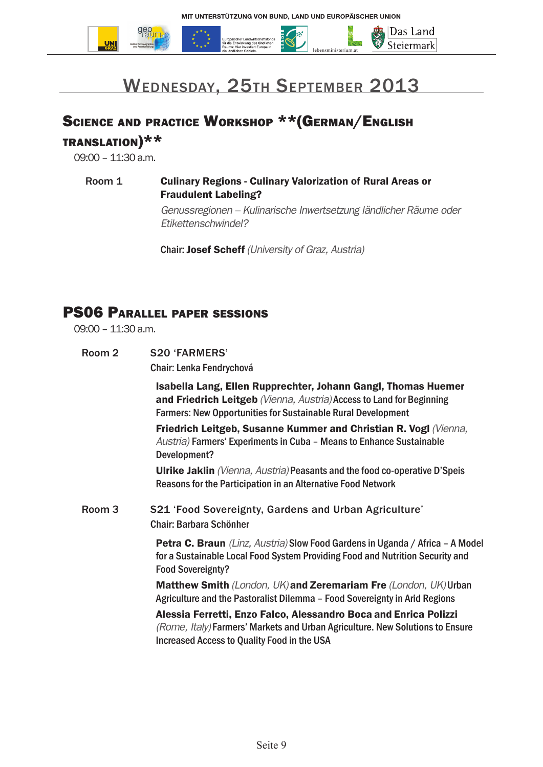



## Wednesday, 25th September 2013

# Science and practice Workshop \*\*(German/English

translation)\*\*

09:00 – 11:30 a.m.

Room 1 Culinary Regions - Culinary Valorization of Rural Areas or Fraudulent Labeling? *Genussregionen – Kulinarische Inwertsetzung ländlicher Räume oder Etikettenschwindel?*

Chair: Josef Scheff *(University of Graz, Austria)*

#### PS06 Parallel paper sessions

09:00 – 11:30 a.m.

Room 2 S20 'FARMERS' Chair: Lenka Fendrychová

> Isabella Lang, Ellen Rupprechter, Johann Gangl, Thomas Huemer and Friedrich Leitgeb *(Vienna, Austria)* Access to Land for Beginning Farmers: New Opportunities for Sustainable Rural Development

Friedrich Leitgeb, Susanne Kummer and Christian R. Vogl *(Vienna, Austria)* Farmers' Experiments in Cuba – Means to Enhance Sustainable Development?

Ulrike Jaklin *(Vienna, Austria)* Peasants and the food co-operative D'Speis Reasons for the Participation in an Alternative Food Network

Room 3 S21 'Food Sovereignty, Gardens and Urban Agriculture' Chair: Barbara Schönher

> Petra C. Braun *(Linz, Austria)* Slow Food Gardens in Uganda / Africa – A Model for a Sustainable Local Food System Providing Food and Nutrition Security and Food Sovereignty?

Matthew Smith *(London, UK)* and Zeremariam Fre *(London, UK)* Urban Agriculture and the Pastoralist Dilemma – Food Sovereignty in Arid Regions

Alessia Ferretti, Enzo Falco, Alessandro Boca and Enrica Polizzi *(Rome, Italy)* Farmers' Markets and Urban Agriculture. New Solutions to Ensure Increased Access to Quality Food in the USA